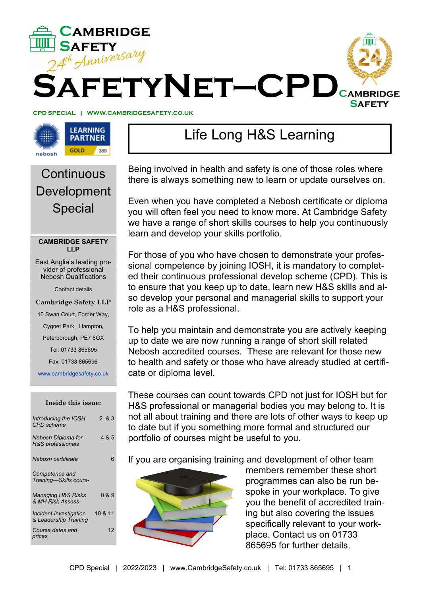

**CPD SPECIAL | WWW.CAMBRIDGESAFETY.CO.UK** 



### **Continuous** Development Special

#### **CAMBRIDGE SAFETY LLP**

East Anglia's leading provider of professional Nebosh Qualifications

Contact details

**Cambridge Safety LLP** 

10 Swan Court, Forder Way, Cygnet Park, Hampton, Peterborough, PE7 8GX Tel: 01733 865695

Fax: 01733 865696

www.cambridgesafety.co.uk

### **Inside this issue:**

| Introducing the IOSH<br><b>CPD</b> scheme                 | 2 & 3   |
|-----------------------------------------------------------|---------|
| <b>Nebosh Diploma for</b><br><b>H&amp;S</b> professionals | 4 & 5   |
| Nebosh certificate                                        | 6       |
| Competence and<br>Training-Skills cours-                  |         |
| <b>Managing H&amp;S Risks</b><br>& MH Risk Assess-        | 8 & 9   |
| Incident Investigation<br>& Leadership Training           | 10 & 11 |
| Course dates and<br>prices                                | 12      |

# Life Long H&S Learning

Being involved in health and safety is one of those roles where there is always something new to learn or update ourselves on.

Even when you have completed a Nebosh certificate or diploma you will often feel you need to know more. At Cambridge Safety we have a range of short skills courses to help you continuously learn and develop your skills portfolio.

For those of you who have chosen to demonstrate your professional competence by joining IOSH, it is mandatory to completed their continuous professional develop scheme (CPD). This is to ensure that you keep up to date, learn new H&S skills and also develop your personal and managerial skills to support your role as a H&S professional.

To help you maintain and demonstrate you are actively keeping up to date we are now running a range of short skill related Nebosh accredited courses. These are relevant for those new to health and safety or those who have already studied at certificate or diploma level.

These courses can count towards CPD not just for IOSH but for H&S professional or managerial bodies you may belong to. It is not all about training and there are lots of other ways to keep up to date but if you something more formal and structured our portfolio of courses might be useful to you.

If you are organising training and development of other team



members remember these short programmes can also be run bespoke in your workplace. To give you the benefit of accredited training but also covering the issues specifically relevant to your workplace. Contact us on 01733 865695 for further details.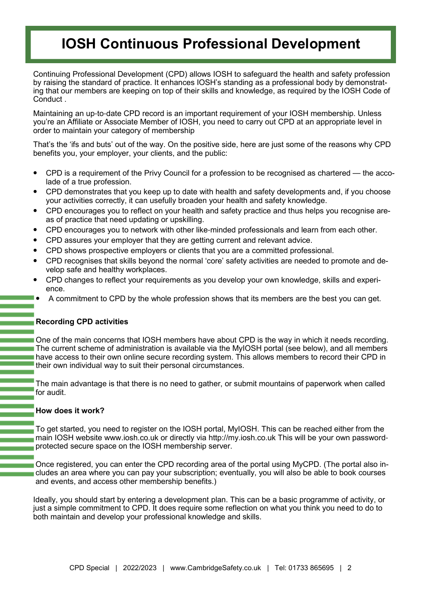# **IOSH Continuous Professional Development**

Continuing Professional Development (CPD) allows IOSH to safeguard the health and safety profession by raising the standard of practice. It enhances IOSH's standing as a professional body by demonstrating that our members are keeping on top of their skills and knowledge, as required by the IOSH Code of Conduct .

Maintaining an up-to-date CPD record is an important requirement of your IOSH membership. Unless you're an Affiliate or Associate Member of IOSH, you need to carry out CPD at an appropriate level in order to maintain your category of membership

That's the 'ifs and buts' out of the way. On the positive side, here are just some of the reasons why CPD benefits you, your employer, your clients, and the public:

- CPD is a requirement of the Privy Council for a profession to be recognised as chartered the accolade of a true profession.
- CPD demonstrates that you keep up to date with health and safety developments and, if you choose your activities correctly, it can usefully broaden your health and safety knowledge.
- CPD encourages you to reflect on your health and safety practice and thus helps you recognise areas of practice that need updating or upskilling.
- CPD encourages you to network with other like-minded professionals and learn from each other.
- CPD assures your employer that they are getting current and relevant advice.
- CPD shows prospective employers or clients that you are a committed professional.
- CPD recognises that skills beyond the normal 'core' safety activities are needed to promote and develop safe and healthy workplaces.
- CPD changes to reflect your requirements as you develop your own knowledge, skills and experience.
- A commitment to CPD by the whole profession shows that its members are the best you can get.

### **Recording CPD activities**

One of the main concerns that IOSH members have about CPD is the way in which it needs recording. The current scheme of administration is available via the MyIOSH portal (see below), and all members have access to their own online secure recording system. This allows members to record their CPD in their own individual way to suit their personal circumstances.

The main advantage is that there is no need to gather, or submit mountains of paperwork when called for audit.

### **How does it work?**

To get started, you need to register on the IOSH portal, MyIOSH. This can be reached either from the main IOSH website www.iosh.co.uk or directly via http://my.iosh.co.uk This will be your own passwordprotected secure space on the IOSH membership server.

Once registered, you can enter the CPD recording area of the portal using MyCPD. (The portal also includes an area where you can pay your subscription; eventually, you will also be able to book courses and events, and access other membership benefits.)

Ideally, you should start by entering a development plan. This can be a basic programme of activity, or just a simple commitment to CPD. It does require some reflection on what you think you need to do to both maintain and develop your professional knowledge and skills.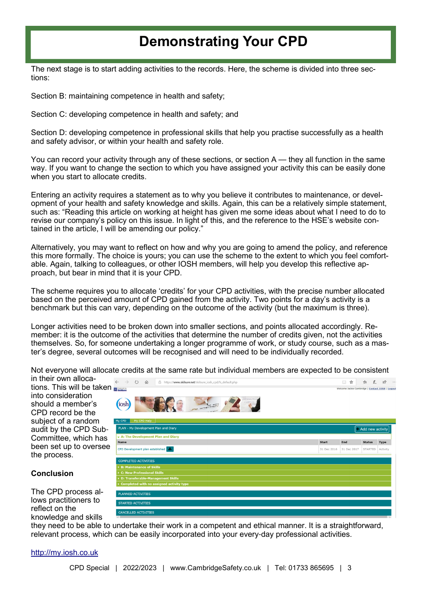## **Demonstrating Your CPD**

The next stage is to start adding activities to the records. Here, the scheme is divided into three sections:

Section B: maintaining competence in health and safety;

Section C: developing competence in health and safety; and

Section D: developing competence in professional skills that help you practise successfully as a health and safety advisor, or within your health and safety role.

You can record your activity through any of these sections, or section A — they all function in the same way. If you want to change the section to which you have assigned your activity this can be easily done when you start to allocate credits.

Entering an activity requires a statement as to why you believe it contributes to maintenance, or development of your health and safety knowledge and skills. Again, this can be a relatively simple statement, such as: "Reading this article on working at height has given me some ideas about what I need to do to revise our company's policy on this issue. In light of this, and the reference to the HSE's website contained in the article, I will be amending our policy."

Alternatively, you may want to reflect on how and why you are going to amend the policy, and reference this more formally. The choice is yours; you can use the scheme to the extent to which you feel comfortable. Again, talking to colleagues, or other IOSH members, will help you develop this reflective approach, but bear in mind that it is your CPD.

The scheme requires you to allocate 'credits' for your CPD activities, with the precise number allocated based on the perceived amount of CPD gained from the activity. Two points for a day's activity is a benchmark but this can vary, depending on the outcome of the activity (but the maximum is three).

Longer activities need to be broken down into smaller sections, and points allocated accordingly. Remember: it is the outcome of the activities that determine the number of credits given, not the activities themselves. So, for someone undertaking a longer programme of work, or study course, such as a master's degree, several outcomes will be recognised and will need to be individually recorded.

Not everyone will allocate credits at the same rate but individual members are expected to be consistent

C 命 Ahttps://www.skilsure.net/skilsure\_iosh\_cpd/fs\_default.php

in their own allocations. This will be taken into consideration should a member's CPD record be the subject of a random audit by the CPD Sub-Committee, which has been set up to oversee the process.

 $\leftarrow$   $\rightarrow$ 



□☆ ☆ ん ! … come Jackie Cambridge | Contact IOSH | Logout

**Conclusion**

The CPD process allows practitioners to reflect on the knowledge and skills

they need to be able to undertake their work in a competent and ethical manner. It is a straightforward, relevant process, which can be easily incorporated into your every-day professional activities.

#### http://my.iosh.co.uk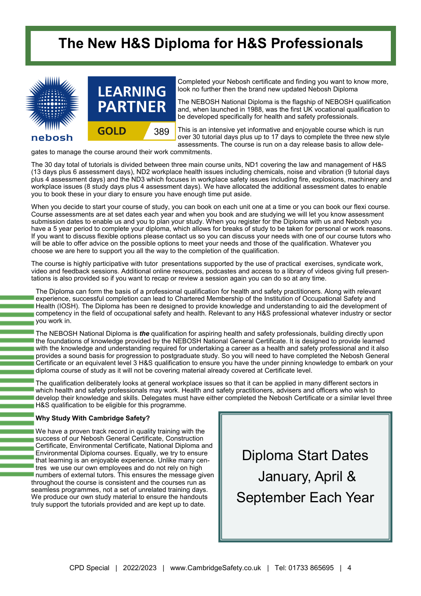## **The New H&S Diploma for H&S Professionals**



Completed your Nebosh certificate and finding you want to know more, look no further then the brand new updated Nebosh Diploma

The NEBOSH National Diploma is the flagship of NEBOSH qualification and, when launched in 1988, was the first UK vocational qualification to be developed specifically for health and safety professionals.

This is an intensive yet informative and enjoyable course which is run over 30 tutorial days plus up to 17 days to complete the three new style assessments. The course is run on a day release basis to allow dele-

gates to manage the course around their work commitments.

The 30 day total of tutorials is divided between three main course units, ND1 covering the law and management of H&S (13 days plus 6 assessment days), ND2 workplace health issues including chemicals, noise and vibration (9 tutorial days plus 4 assessment days) and the ND3 which focuses in workplace safety issues including fire, explosions, machinery and workplace issues (8 study days plus 4 assessment days). We have allocated the additional assessment dates to enable you to book these in your diary to ensure you have enough time put aside.

When you decide to start your course of study, you can book on each unit one at a time or you can book our flexi course. Course assessments are at set dates each year and when you book and are studying we will let you know assessment submission dates to enable us and you to plan your study. When you register for the Diploma with us and Nebosh you have a 5 year period to complete your diploma, which allows for breaks of study to be taken for personal or work reasons. If you want to discuss flexible options please contact us so you can discuss your needs with one of our course tutors who will be able to offer advice on the possible options to meet your needs and those of the qualification. Whatever you choose we are here to support you all the way to the completion of the qualification.

The course is highly participative with tutor presentations supported by the use of practical exercises, syndicate work, video and feedback sessions. Additional online resources, podcastes and access to a library of videos giving full presentations is also provided so if you want to recap or review a session again you can do so at any time.

The Diploma can form the basis of a professional qualification for health and safety practitioners. Along with relevant experience, successful completion can lead to Chartered Membership of the Institution of Occupational Safety and Health (IOSH). The Diploma has been re designed to provide knowledge and understanding to aid the development of competency in the field of occupational safety and health. Relevant to any H&S professional whatever industry or sector you work in.

The NEBOSH National Diploma is *the* qualification for aspiring health and safety professionals, building directly upon I the foundations of knowledge provided by the NEBOSH National General Certificate. It is designed to provide learned with the knowledge and understanding required for undertaking a career as a health and safety professional and it also provides a sound basis for progression to postgraduate study. So you will need to have completed the Nebosh General Certificate or an equivalent level 3 H&S qualification to ensure you have the under pinning knowledge to embark on your diploma course of study as it will not be covering material already covered at Certificate level.

The qualification deliberately looks at general workplace issues so that it can be applied in many different sectors in which health and safety professionals may work. Health and safety practitioners, advisers and officers who wish to develop their knowledge and skills. Delegates must have either completed the Nebosh Certificate or a similar level three H&S qualification to be eligible for this programme.

#### **Why Study With Cambridge Safety?**

We have a proven track record in quality training with the success of our Nebosh General Certificate, Construction Certificate, Environmental Certificate, National Diploma and Environmental Diploma courses. Equally, we try to ensure that learning is an enjoyable experience. Unlike many centres we use our own employees and do not rely on high numbers of external tutors. This ensures the message given throughout the course is consistent and the courses run as seamless programmes, not a set of unrelated training days. We produce our own study material to ensure the handouts truly support the tutorials provided and are kept up to date.

Diploma Start Dates January, April & September Each Year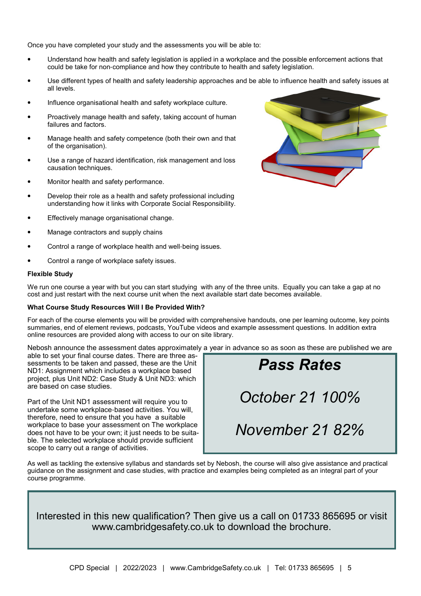Once you have completed your study and the assessments you will be able to:

- Understand how health and safety legislation is applied in a workplace and the possible enforcement actions that could be take for non-compliance and how they contribute to health and safety legislation.
- Use different types of health and safety leadership approaches and be able to influence health and safety issues at all levels.
- Influence organisational health and safety workplace culture.
- Proactively manage health and safety, taking account of human failures and factors.
- Manage health and safety competence (both their own and that of the organisation).
- Use a range of hazard identification, risk management and loss causation techniques.
- Monitor health and safety performance.
- Develop their role as a health and safety professional including understanding how it links with Corporate Social Responsibility.
- Effectively manage organisational change.
- Manage contractors and supply chains
- Control a range of workplace health and well-being issues.
- Control a range of workplace safety issues.

#### **Flexible Study**

We run one course a year with but you can start studying with any of the three units. Equally you can take a gap at no cost and just restart with the next course unit when the next available start date becomes available.

#### **What Course Study Resources Will I Be Provided With?**

For each of the course elements you will be provided with comprehensive handouts, one per learning outcome, key points summaries, end of element reviews, podcasts, YouTube videos and example assessment questions. In addition extra online resources are provided along with access to our on site library.

Nebosh announce the assessment dates approximately a year in advance so as soon as these are published we are

able to set your final course dates. There are three assessments to be taken and passed, these are the Unit ND1: Assignment which includes a workplace based project, plus Unit ND2: Case Study & Unit ND3: which are based on case studies.

Part of the Unit ND1 assessment will require you to undertake some workplace-based activities. You will, therefore, need to ensure that you have a suitable workplace to base your assessment on The workplace does not have to be your own; it just needs to be suitable. The selected workplace should provide sufficient scope to carry out a range of activities.

*October 21 100%*

*Pass Rates*

*November 21 82%*

As well as tackling the extensive syllabus and standards set by Nebosh, the course will also give assistance and practical guidance on the assignment and case studies, with practice and examples being completed as an integral part of your course programme.

Interested in this new qualification? Then give us a call on 01733 865695 or visit www.cambridgesafety.co.uk to download the brochure.

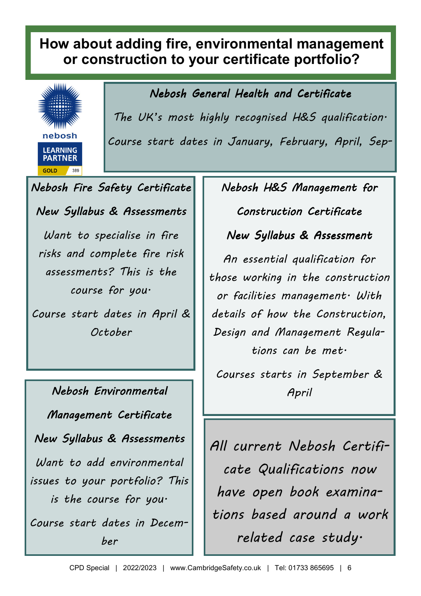### **How about adding fire, environmental management or construction to your certificate portfolio?**



Nebosh General Health and Certificate The UK's most highly recognised H&S qualification. Course start dates in January, February, April, Sep-

### Nebosh Fire Safety Certificate

### New Syllabus & Assessments

Want to specialise in fire risks and complete fire risk assessments? This is the course for you.

Course start dates in April & October

Nebosh Environmental Management Certificate New Syllabus & Assessments Want to add environmental issues to your portfolio? This is the course for you. Course start dates in December

### Nebosh H&S Management for

Construction Certificate

New Syllabus & Assessment

An essential qualification for those working in the construction or facilities management. With details of how the Construction, Design and Management Regulations can be met.

Courses starts in September & April

All current Nebosh Certificate Qualifications now have open book examinations based around a work related case study.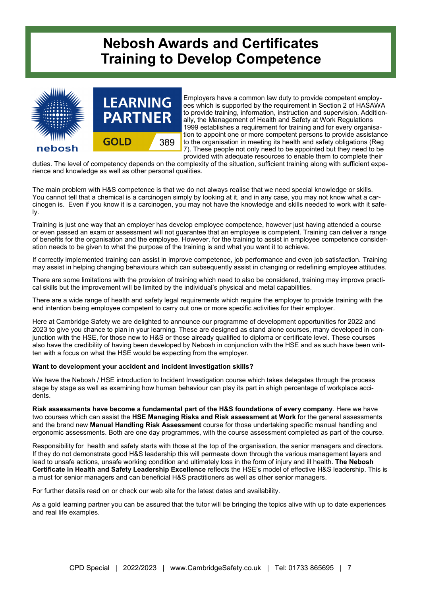### **Nebosh Awards and Certificates Training to Develop Competence**



Employers have a common law duty to provide competent employees which is supported by the requirement in Section 2 of HASAWA to provide training, information, instruction and supervision. Additionally, the Management of Health and Safety at Work Regulations 1999 establishes a requirement for training and for every organisation to appoint one or more competent persons to provide assistance to the organisation in meeting its health and safety obligations (Reg 7). These people not only need to be appointed but they need to be provided with adequate resources to enable them to complete their

duties. The level of competency depends on the complexity of the situation, sufficient training along with sufficient experience and knowledge as well as other personal qualities.

The main problem with H&S competence is that we do not always realise that we need special knowledge or skills. You cannot tell that a chemical is a carcinogen simply by looking at it, and in any case, you may not know what a carcinogen is. Even if you know it is a carcinogen, you may not have the knowledge and skills needed to work with it safely.

Training is just one way that an employer has develop employee competence, however just having attended a course or even passed an exam or assessment will not guarantee that an employee is competent. Training can deliver a range of benefits for the organisation and the employee. However, for the training to assist in employee competence consideration needs to be given to what the purpose of the training is and what you want it to achieve.

If correctly implemented training can assist in improve competence, job performance and even job satisfaction. Training may assist in helping changing behaviours which can subsequently assist in changing or redefining employee attitudes.

There are some limitations with the provision of training which need to also be considered, training may improve practical skills but the improvement will be limited by the individual's physical and metal capabilities.

There are a wide range of health and safety legal requirements which require the employer to provide training with the end intention being employee competent to carry out one or more specific activities for their employer.

Here at Cambridge Safety we are delighted to announce our programme of development opportunities for 2022 and 2023 to give you chance to plan in your learning. These are designed as stand alone courses, many developed in conjunction with the HSE, for those new to H&S or those already qualified to diploma or certificate level. These courses also have the credibility of having been developed by Nebosh in conjunction with the HSE and as such have been written with a focus on what the HSE would be expecting from the employer.

#### **Want to development your accident and incident investigation skills?**

We have the Nebosh / HSE introduction to Incident Investigation course which takes delegates through the process stage by stage as well as examining how human behaviour can play its part in ahigh percentage of workplace accidents.

**Risk assessments have become a fundamental part of the H&S foundations of every company**. Here we have two courses which can assist the **HSE Managing Risks and Risk assessment at Work** for the general assessments and the brand new **Manual Handling Risk Assessment** course for those undertaking specific manual handling and ergonomic assessments. Both are one day programmes, with the course assessment completed as part of the course.

Responsibility for health and safety starts with those at the top of the organisation, the senior managers and directors. If they do not demonstrate good H&S leadership this will permeate down through the various management layers and lead to unsafe actions, unsafe working condition and ultimately loss in the form of injury and ill health. **The Nebosh Certificate in Health and Safety Leadership Excellence** reflects the HSE's model of effective H&S leadership. This is a must for senior managers and can beneficial H&S practitioners as well as other senior managers.

For further details read on or check our web site for the latest dates and availability.

As a gold learning partner you can be assured that the tutor will be bringing the topics alive with up to date experiences and real life examples.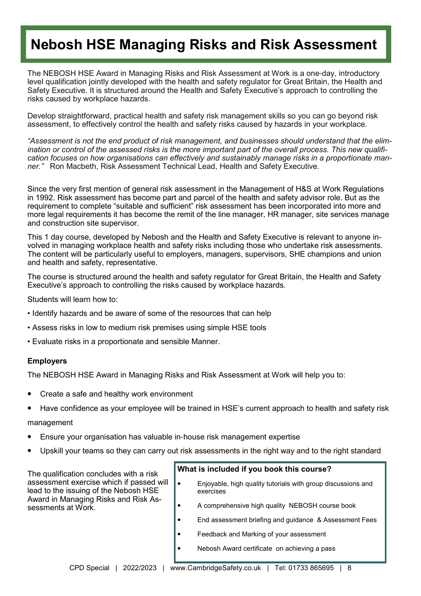## **Nebosh HSE Managing Risks and Risk Assessment**

The NEBOSH HSE Award in Managing Risks and Risk Assessment at Work is a one-day, introductory level qualification jointly developed with the health and safety regulator for Great Britain, the Health and Safety Executive. It is structured around the Health and Safety Executive's approach to controlling the risks caused by workplace hazards.

Develop straightforward, practical health and safety risk management skills so you can go beyond risk assessment, to effectively control the health and safety risks caused by hazards in your workplace.

*"Assessment is not the end product of risk management, and businesses should understand that the elimination or control of the assessed risks is the more important part of the overall process. This new qualification focuses on how organisations can effectively and sustainably manage risks in a proportionate manner."* Ron Macbeth, Risk Assessment Technical Lead, Health and Safety Executive.

Since the very first mention of general risk assessment in the Management of H&S at Work Regulations in 1992. Risk assessment has become part and parcel of the health and safety advisor role. But as the requirement to complete "suitable and sufficient" risk assessment has been incorporated into more and more legal requirements it has become the remit of the line manager, HR manager, site services manage and construction site supervisor.

This 1 day course, developed by Nebosh and the Health and Safety Executive is relevant to anyone involved in managing workplace health and safety risks including those who undertake risk assessments. The content will be particularly useful to employers, managers, supervisors, SHE champions and union and health and safety, representative.

The course is structured around the health and safety regulator for Great Britain, the Health and Safety Executive's approach to controlling the risks caused by workplace hazards.

Students will learn how to:

- Identify hazards and be aware of some of the resources that can help
- Assess risks in low to medium risk premises using simple HSE tools
- Evaluate risks in a proportionate and sensible Manner.

### **Employers**

The NEBOSH HSE Award in Managing Risks and Risk Assessment at Work will help you to:

- Create a safe and healthy work environment
- Have confidence as your employee will be trained in HSE's current approach to health and safety risk

### management

- Ensure your organisation has valuable in-house risk management expertise
- Upskill your teams so they can carry out risk assessments in the right way and to the right standard

The qualification concludes with a risk assessment exercise which if passed will lead to the issuing of the Nebosh HSE Award in Managing Risks and Risk Assessments at Work.

### **What is included if you book this course?**

- Enjoyable, high quality tutorials with group discussions and exercises
- A comprehensive high quality NEBOSH course book
- End assessment briefing and guidance & Assessment Fees
- Feedback and Marking of your assessment
- Nebosh Award certificate on achieving a pass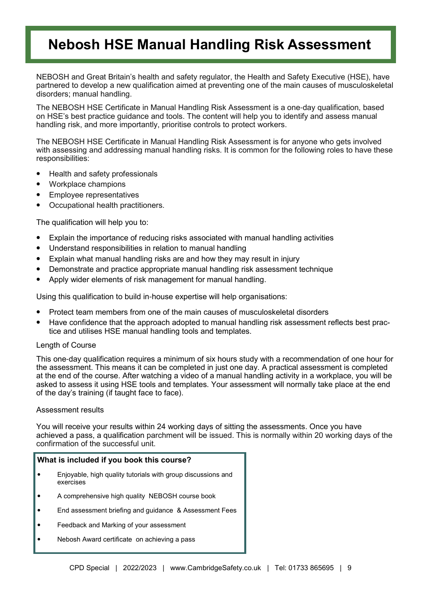### **Nebosh HSE Manual Handling Risk Assessment**

NEBOSH and Great Britain's health and safety regulator, the Health and Safety Executive (HSE), have partnered to develop a new qualification aimed at preventing one of the main causes of musculoskeletal disorders; manual handling.

The NEBOSH HSE Certificate in Manual Handling Risk Assessment is a one-day qualification, based on HSE's best practice guidance and tools. The content will help you to identify and assess manual handling risk, and more importantly, prioritise controls to protect workers.

The NEBOSH HSE Certificate in Manual Handling Risk Assessment is for anyone who gets involved with assessing and addressing manual handling risks. It is common for the following roles to have these responsibilities:

- Health and safety professionals
- Workplace champions
- Employee representatives
- Occupational health practitioners.

The qualification will help you to:

- Explain the importance of reducing risks associated with manual handling activities
- Understand responsibilities in relation to manual handling
- Explain what manual handling risks are and how they may result in injury
- Demonstrate and practice appropriate manual handling risk assessment technique
- Apply wider elements of risk management for manual handling.

Using this qualification to build in-house expertise will help organisations:

- Protect team members from one of the main causes of musculoskeletal disorders
- Have confidence that the approach adopted to manual handling risk assessment reflects best practice and utilises HSE manual handling tools and templates.

### Length of Course

This one-day qualification requires a minimum of six hours study with a recommendation of one hour for the assessment. This means it can be completed in just one day. A practical assessment is completed at the end of the course. After watching a video of a manual handling activity in a workplace, you will be asked to assess it using HSE tools and templates. Your assessment will normally take place at the end of the day's training (if taught face to face).

### Assessment results

You will receive your results within 24 working days of sitting the assessments. Once you have achieved a pass, a qualification parchment will be issued. This is normally within 20 working days of the confirmation of the successful unit.

### **What is included if you book this course?** • Enjoyable, high quality tutorials with group discussions and exercises

- A comprehensive high quality NEBOSH course book
- End assessment briefing and guidance & Assessment Fees
- Feedback and Marking of your assessment
- Nebosh Award certificate on achieving a pass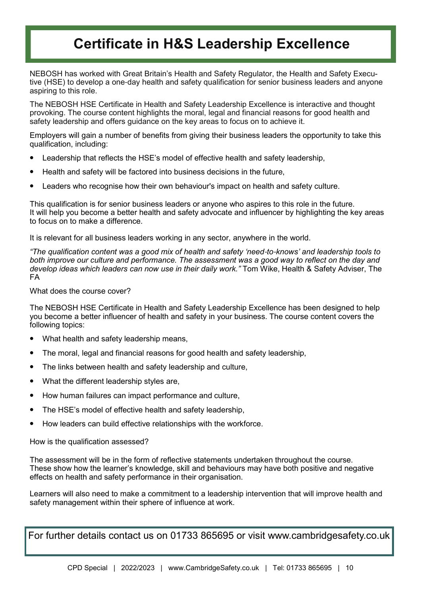## **Certificate in H&S Leadership Excellence**

NEBOSH has worked with Great Britain's Health and Safety Regulator, the Health and Safety Executive (HSE) to develop a one-day health and safety qualification for senior business leaders and anyone aspiring to this role.

The NEBOSH HSE Certificate in Health and Safety Leadership Excellence is interactive and thought provoking. The course content highlights the moral, legal and financial reasons for good health and safety leadership and offers guidance on the key areas to focus on to achieve it.

Employers will gain a number of benefits from giving their business leaders the opportunity to take this qualification, including:

- Leadership that reflects the HSE's model of effective health and safety leadership,
- Health and safety will be factored into business decisions in the future,
- Leaders who recognise how their own behaviour's impact on health and safety culture.

This qualification is for senior business leaders or anyone who aspires to this role in the future. It will help you become a better health and safety advocate and influencer by highlighting the key areas to focus on to make a difference.

It is relevant for all business leaders working in any sector, anywhere in the world.

*"The qualification content was a good mix of health and safety 'need*-*to*-*knows' and leadership tools to both improve our culture and performance. The assessment was a good way to reflect on the day and develop ideas which leaders can now use in their daily work."* Tom Wike, Health & Safety Adviser, The FA

What does the course cover?

The NEBOSH HSE Certificate in Health and Safety Leadership Excellence has been designed to help you become a better influencer of health and safety in your business. The course content covers the following topics:

- What health and safety leadership means,
- The moral, legal and financial reasons for good health and safety leadership.
- The links between health and safety leadership and culture,
- What the different leadership styles are,
- How human failures can impact performance and culture,
- The HSE's model of effective health and safety leadership,
- How leaders can build effective relationships with the workforce.

How is the qualification assessed?

The assessment will be in the form of reflective statements undertaken throughout the course. These show how the learner's knowledge, skill and behaviours may have both positive and negative effects on health and safety performance in their organisation.

Learners will also need to make a commitment to a leadership intervention that will improve health and safety management within their sphere of influence at work.

For further details contact us on 01733 865695 or visit www.cambridgesafety.co.uk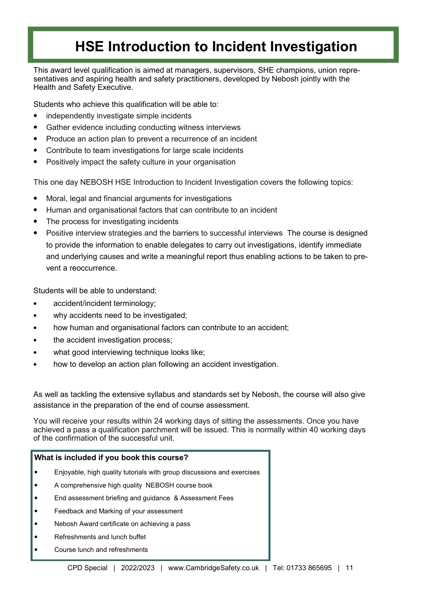# **HSE Introduction to Incident Investigation**

This award level qualification is aimed at managers, supervisors, SHE champions, union representatives and aspiring health and safety practitioners, developed by Nebosh jointly with the Health and Safety Executive.

Students who achieve this qualification will be able to:

- independently investigate simple incidents
- Gather evidence including conducting witness interviews
- Produce an action plan to prevent a recurrence of an incident
- Contribute to team investigations for large scale incidents
- Positively impact the safety culture in your organisation

This one day NEBOSH HSE Introduction to Incident Investigation covers the following topics:

- Moral, legal and financial arguments for investigations
- Human and organisational factors that can contribute to an incident
- The process for investigating incidents
- Positive interview strategies and the barriers to successful interviews The course is designed to provide the information to enable delegates to carry out investigations, identify immediate and underlying causes and write a meaningful report thus enabling actions to be taken to prevent a reoccurrence.

Students will be able to understand:

- accident/incident terminology;
- why accidents need to be investigated;
- how human and organisational factors can contribute to an accident;
- the accident investigation process;
- what good interviewing technique looks like;
- how to develop an action plan following an accident investigation.

As well as tackling the extensive syllabus and standards set by Nebosh, the course will also give assistance in the preparation of the end of course assessment.

You will receive your results within 24 working days of sitting the assessments. Once you have achieved a pass a qualification parchment will be issued. This is normally within 40 working days of the confirmation of the successful unit.

### **What is included if you book this course?**

- Enjoyable, high quality tutorials with group discussions and exercises
- A comprehensive high quality NEBOSH course book
- End assessment briefing and guidance & Assessment Fees
- Feedback and Marking of your assessment
- Nebosh Award certificate on achieving a pass
- Refreshments and lunch buffet
- Course lunch and refreshments